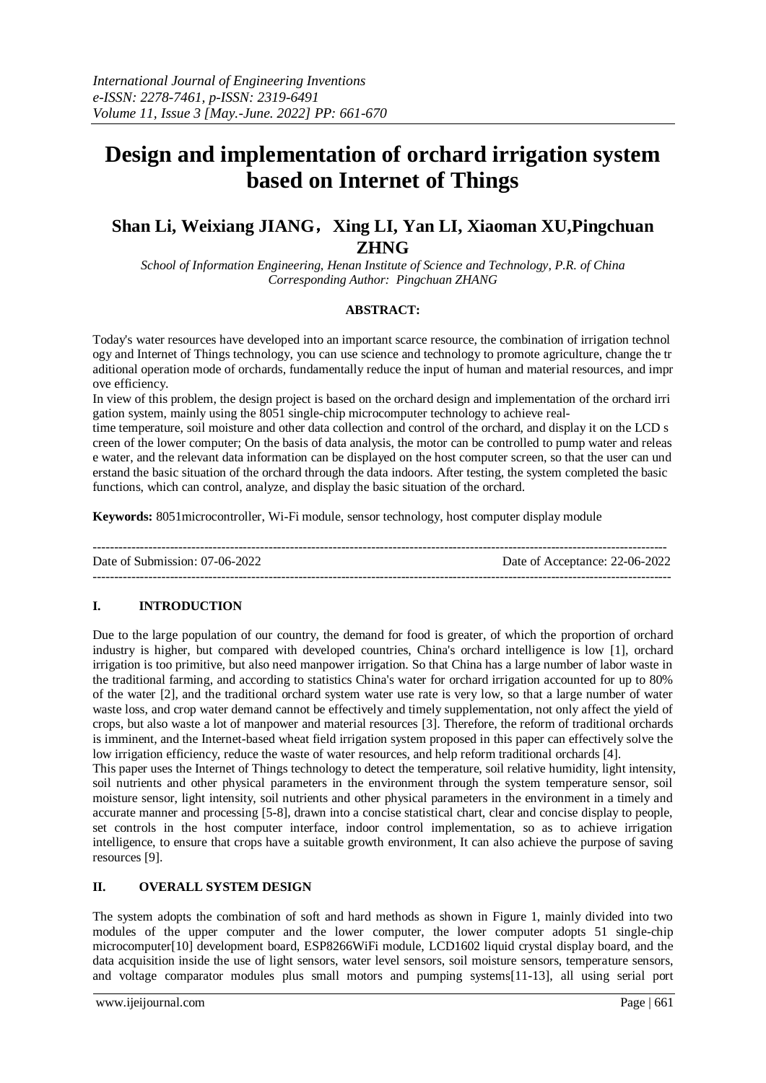# **Design and implementation of orchard irrigation system based on Internet of Things**

## **Shan Li, Weixiang JIANG**,**Xing LI, Yan LI, Xiaoman XU,Pingchuan ZHNG**

*School of Information Engineering, Henan Institute of Science and Technology, P.R. of China Corresponding Author: Pingchuan ZHANG*

#### **ABSTRACT:**

Today's water resources have developed into an important scarce resource, the combination of irrigation technol ogy and Internet of Things technology, you can use science and technology to promote agriculture, change the tr aditional operation mode of orchards, fundamentally reduce the input of human and material resources, and impr ove efficiency.

In view of this problem, the design project is based on the orchard design and implementation of the orchard irri gation system, mainly using the 8051 single-chip microcomputer technology to achieve real-

time temperature, soil moisture and other data collection and control of the orchard, and display it on the LCD s creen of the lower computer; On the basis of data analysis, the motor can be controlled to pump water and releas e water, and the relevant data information can be displayed on the host computer screen, so that the user can und erstand the basic situation of the orchard through the data indoors. After testing, the system completed the basic functions, which can control, analyze, and display the basic situation of the orchard.

**Keywords:** 8051microcontroller, Wi-Fi module, sensor technology, host computer display module

-------------------------------------------------------------------------------------------------------------------------------------- Date of Submission: 07-06-2022 Date of Acceptance: 22-06-2022 ---------------------------------------------------------------------------------------------------------------------------------------

## **I. INTRODUCTION**

Due to the large population of our country, the demand for food is greater, of which the proportion of orchard industry is higher, but compared with developed countries, China's orchard intelligence is low [1], orchard irrigation is too primitive, but also need manpower irrigation. So that China has a large number of labor waste in the traditional farming, and according to statistics China's water for orchard irrigation accounted for up to 80% of the water [2], and the traditional orchard system water use rate is very low, so that a large number of water waste loss, and crop water demand cannot be effectively and timely supplementation, not only affect the yield of crops, but also waste a lot of manpower and material resources [3]. Therefore, the reform of traditional orchards is imminent, and the Internet-based wheat field irrigation system proposed in this paper can effectively solve the low irrigation efficiency, reduce the waste of water resources, and help reform traditional orchards [4].

This paper uses the Internet of Things technology to detect the temperature, soil relative humidity, light intensity, soil nutrients and other physical parameters in the environment through the system temperature sensor, soil moisture sensor, light intensity, soil nutrients and other physical parameters in the environment in a timely and accurate manner and processing [5-8], drawn into a concise statistical chart, clear and concise display to people, set controls in the host computer interface, indoor control implementation, so as to achieve irrigation intelligence, to ensure that crops have a suitable growth environment, It can also achieve the purpose of saving resources [9].

## **II. OVERALL SYSTEM DESIGN**

The system adopts the combination of soft and hard methods as shown in Figure 1, mainly divided into two modules of the upper computer and the lower computer, the lower computer adopts 51 single-chip microcomputer[10] development board, ESP8266WiFi module, LCD1602 liquid crystal display board, and the data acquisition inside the use of light sensors, water level sensors, soil moisture sensors, temperature sensors, and voltage comparator modules plus small motors and pumping systems[11-13], all using serial port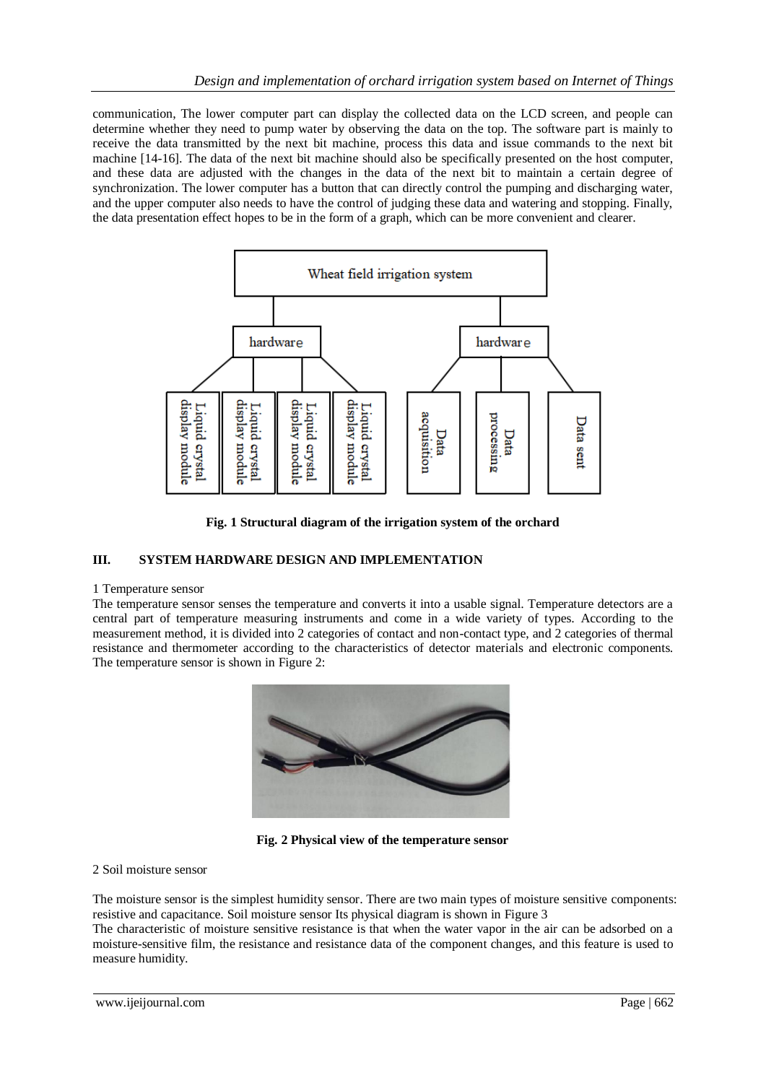communication, The lower computer part can display the collected data on the LCD screen, and people can determine whether they need to pump water by observing the data on the top. The software part is mainly to receive the data transmitted by the next bit machine, process this data and issue commands to the next bit machine [14-16]. The data of the next bit machine should also be specifically presented on the host computer, and these data are adjusted with the changes in the data of the next bit to maintain a certain degree of synchronization. The lower computer has a button that can directly control the pumping and discharging water, and the upper computer also needs to have the control of judging these data and watering and stopping. Finally, the data presentation effect hopes to be in the form of a graph, which can be more convenient and clearer.



**Fig. 1 Structural diagram of the irrigation system of the orchard**

## **III. SYSTEM HARDWARE DESIGN AND IMPLEMENTATION**

## 1 Temperature sensor

The temperature sensor senses the temperature and converts it into a usable signal. Temperature detectors are a central part of temperature measuring instruments and come in a wide variety of types. According to the measurement method, it is divided into 2 categories of contact and non-contact type, and 2 categories of thermal resistance and thermometer according to the characteristics of detector materials and electronic components. The temperature sensor is shown in Figure 2:



**Fig. 2 Physical view of the temperature sensor**

#### 2 Soil moisture sensor

The moisture sensor is the simplest humidity sensor. There are two main types of moisture sensitive components: resistive and capacitance. Soil moisture sensor Its physical diagram is shown in Figure 3

The characteristic of moisture sensitive resistance is that when the water vapor in the air can be adsorbed on a moisture-sensitive film, the resistance and resistance data of the component changes, and this feature is used to measure humidity.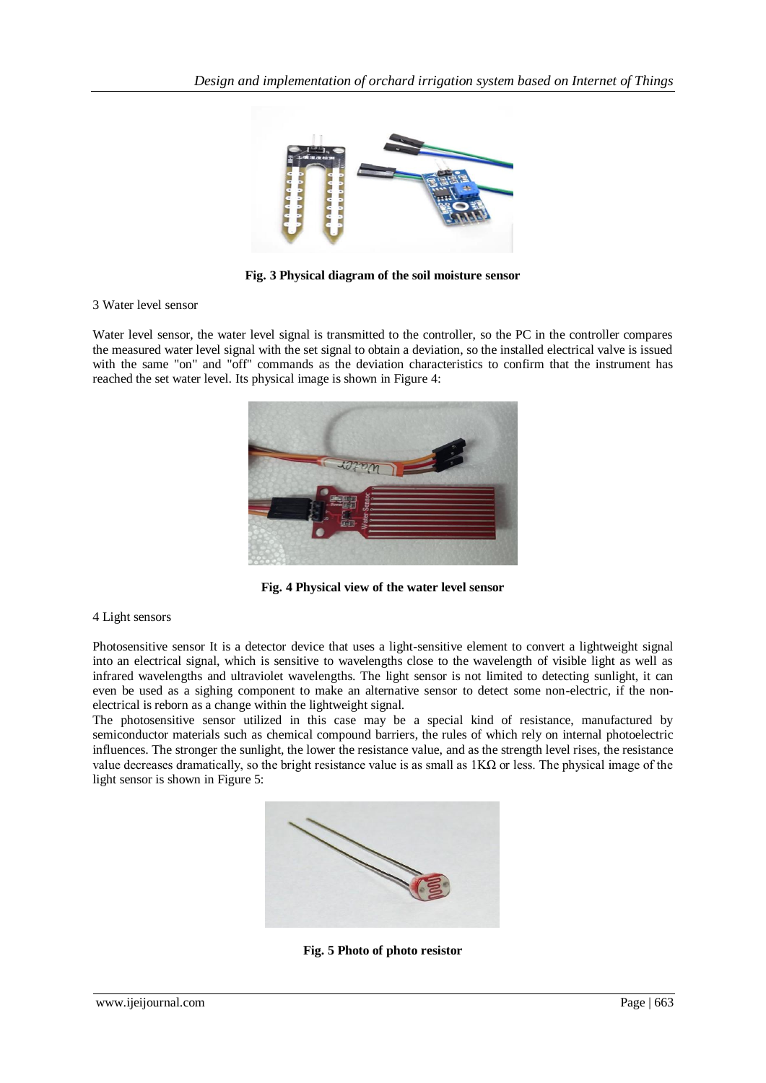

**Fig. 3 Physical diagram of the soil moisture sensor**

#### 3 Water level sensor

Water level sensor, the water level signal is transmitted to the controller, so the PC in the controller compares the measured water level signal with the set signal to obtain a deviation, so the installed electrical valve is issued with the same "on" and "off" commands as the deviation characteristics to confirm that the instrument has reached the set water level. Its physical image is shown in Figure 4:



**Fig. 4 Physical view of the water level sensor**

#### 4 Light sensors

Photosensitive sensor It is a detector device that uses a light-sensitive element to convert a lightweight signal into an electrical signal, which is sensitive to wavelengths close to the wavelength of visible light as well as infrared wavelengths and ultraviolet wavelengths. The light sensor is not limited to detecting sunlight, it can even be used as a sighing component to make an alternative sensor to detect some non-electric, if the nonelectrical is reborn as a change within the lightweight signal.

The photosensitive sensor utilized in this case may be a special kind of resistance, manufactured by semiconductor materials such as chemical compound barriers, the rules of which rely on internal photoelectric influences. The stronger the sunlight, the lower the resistance value, and as the strength level rises, the resistance value decreases dramatically, so the bright resistance value is as small as  $1K\Omega$  or less. The physical image of the light sensor is shown in Figure 5:



**Fig. 5 Photo of photo resistor**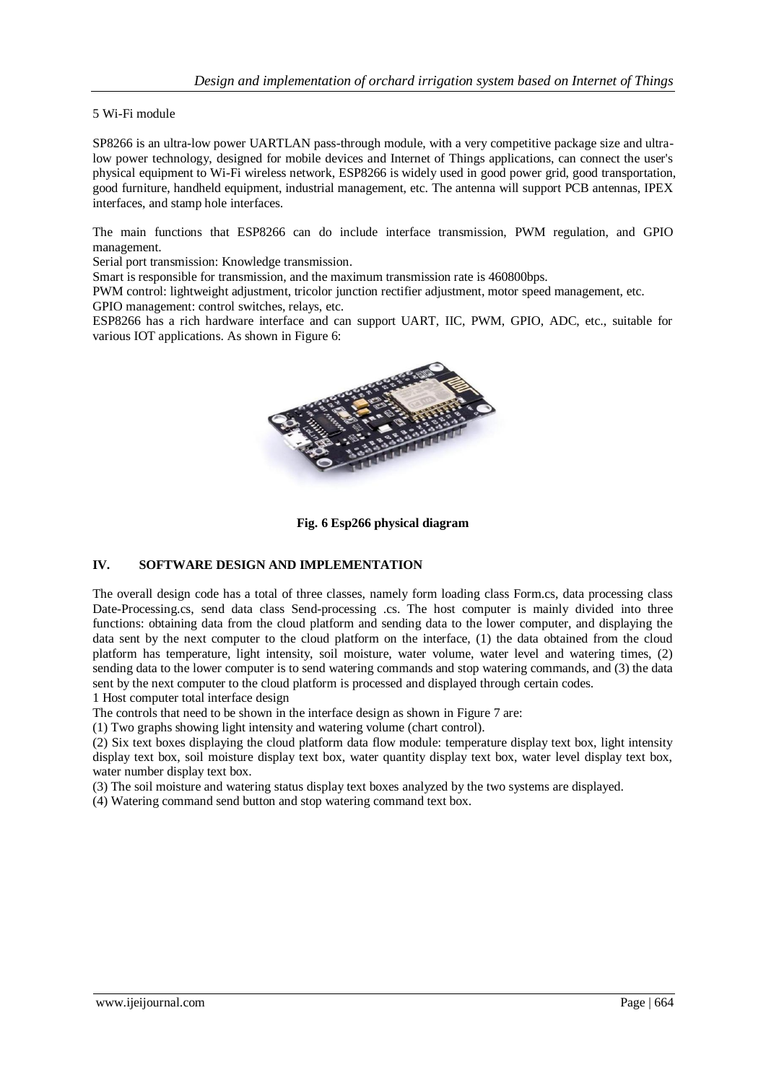5 Wi-Fi module

SP8266 is an ultra-low power UARTLAN pass-through module, with a very competitive package size and ultralow power technology, designed for mobile devices and Internet of Things applications, can connect the user's physical equipment to Wi-Fi wireless network, ESP8266 is widely used in good power grid, good transportation, good furniture, handheld equipment, industrial management, etc. The antenna will support PCB antennas, IPEX interfaces, and stamp hole interfaces.

The main functions that ESP8266 can do include interface transmission, PWM regulation, and GPIO management.

Serial port transmission: Knowledge transmission.

Smart is responsible for transmission, and the maximum transmission rate is 460800bps.

PWM control: lightweight adjustment, tricolor junction rectifier adjustment, motor speed management, etc. GPIO management: control switches, relays, etc.

ESP8266 has a rich hardware interface and can support UART, IIC, PWM, GPIO, ADC, etc., suitable for various IOT applications. As shown in Figure 6:



**Fig. 6 Esp266 physical diagram**

## **IV. SOFTWARE DESIGN AND IMPLEMENTATION**

The overall design code has a total of three classes, namely form loading class Form.cs, data processing class Date-Processing.cs, send data class Send-processing .cs. The host computer is mainly divided into three functions: obtaining data from the cloud platform and sending data to the lower computer, and displaying the data sent by the next computer to the cloud platform on the interface, (1) the data obtained from the cloud platform has temperature, light intensity, soil moisture, water volume, water level and watering times, (2) sending data to the lower computer is to send watering commands and stop watering commands, and (3) the data sent by the next computer to the cloud platform is processed and displayed through certain codes.

1 Host computer total interface design

The controls that need to be shown in the interface design as shown in Figure 7 are:

(1) Two graphs showing light intensity and watering volume (chart control).

(2) Six text boxes displaying the cloud platform data flow module: temperature display text box, light intensity display text box, soil moisture display text box, water quantity display text box, water level display text box, water number display text box.

(3) The soil moisture and watering status display text boxes analyzed by the two systems are displayed.

(4) Watering command send button and stop watering command text box.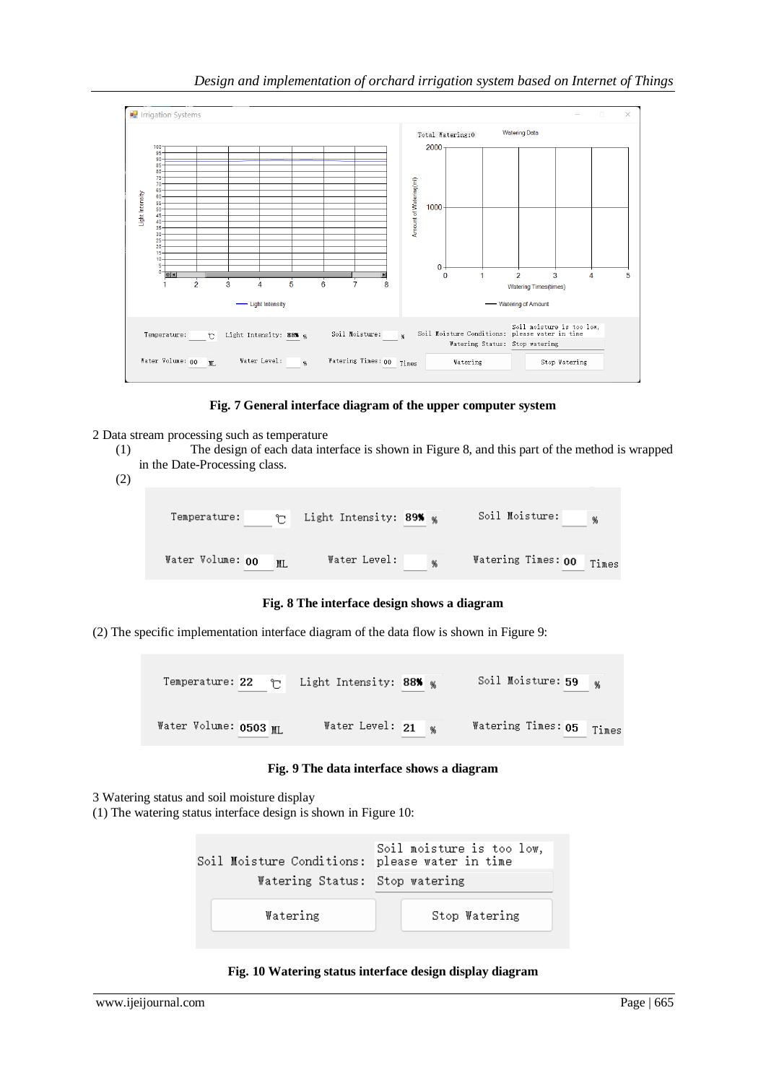## *Design and implementation of orchard irrigation system based on Internet of Things*



**Fig. 7 General interface diagram of the upper computer system**

- 2 Data stream processing such as temperature
	- (1) The design of each data interface is shown in Figure 8, and this part of the method is wrapped in the Date-Processing class.
	- (2)

| Temperature:<br>↬ | Light Intensity: 89% % | Soil Moisture:<br>% |
|-------------------|------------------------|---------------------|
| Water Volume: 00  | Water Level:           | Watering Times: 00  |
| ML.               | %                      | Times               |

**Fig. 8 The interface design shows a diagram**

(2) The specific implementation interface diagram of the data flow is shown in Figure 9:

| Temperature: 22<br>↑  | Light Intensity: 88% <sub>%</sub> | Soil Moisture: 59<br>- 96   |
|-----------------------|-----------------------------------|-----------------------------|
| Water Volume: 0503 ML | Water Level: 21                   | Watering Times: 05<br>Times |

**Fig. 9 The data interface shows a diagram**

3 Watering status and soil moisture display

(1) The watering status interface design is shown in Figure 10:

| Soil Moisture Conditions: please water in time<br>Watering Status: Stop watering | Soil moisture is too low, |
|----------------------------------------------------------------------------------|---------------------------|
| Watering                                                                         | Stop Watering             |

### **Fig. 10 Watering status interface design display diagram**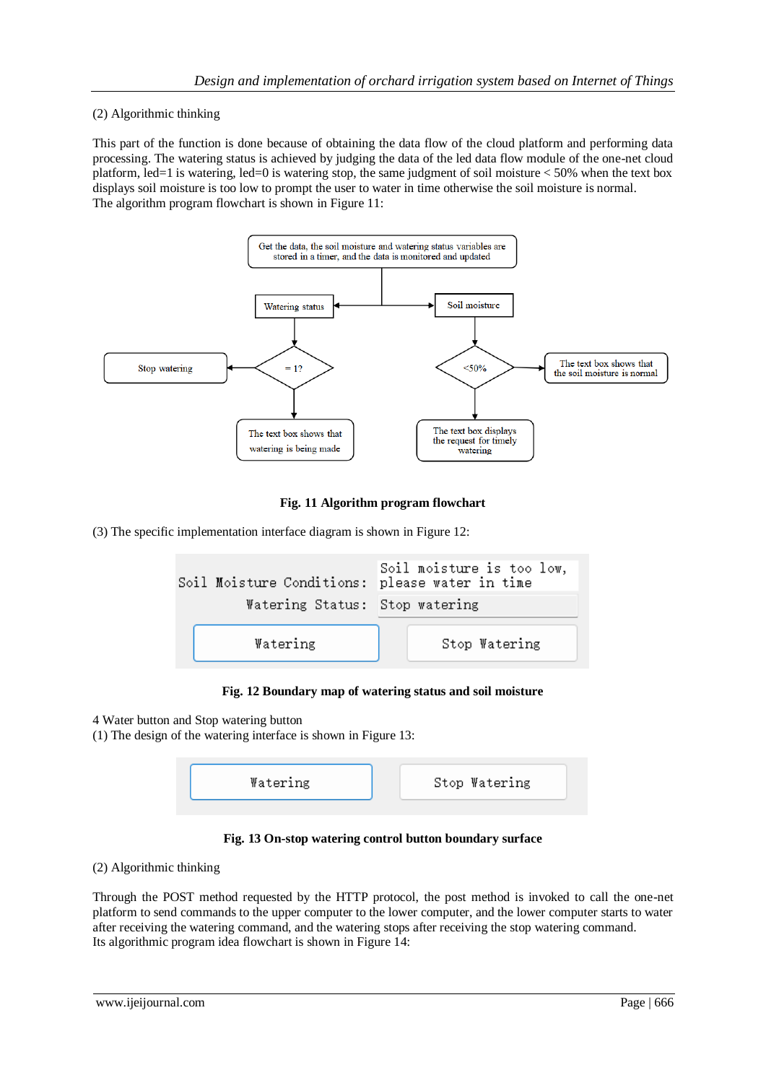## (2) Algorithmic thinking

This part of the function is done because of obtaining the data flow of the cloud platform and performing data processing. The watering status is achieved by judging the data of the led data flow module of the one-net cloud platform, led=1 is watering, led=0 is watering stop, the same judgment of soil moisture < 50% when the text box displays soil moisture is too low to prompt the user to water in time otherwise the soil moisture is normal. The algorithm program flowchart is shown in Figure 11:



## **Fig. 11 Algorithm program flowchart**

(3) The specific implementation interface diagram is shown in Figure 12:

| Soil Moisture Conditions: please water in time |                                | Soil moisture is too low, |
|------------------------------------------------|--------------------------------|---------------------------|
|                                                | Watering Status: Stop watering |                           |
|                                                | Watering                       | Stop Watering             |

#### **Fig. 12 Boundary map of watering status and soil moisture**

4 Water button and Stop watering button

(1) The design of the watering interface is shown in Figure 13:

| Watering | Stop Watering |
|----------|---------------|
|          |               |

**Fig. 13 On-stop watering control button boundary surface**

(2) Algorithmic thinking

Through the POST method requested by the HTTP protocol, the post method is invoked to call the one-net platform to send commands to the upper computer to the lower computer, and the lower computer starts to water after receiving the watering command, and the watering stops after receiving the stop watering command. Its algorithmic program idea flowchart is shown in Figure 14: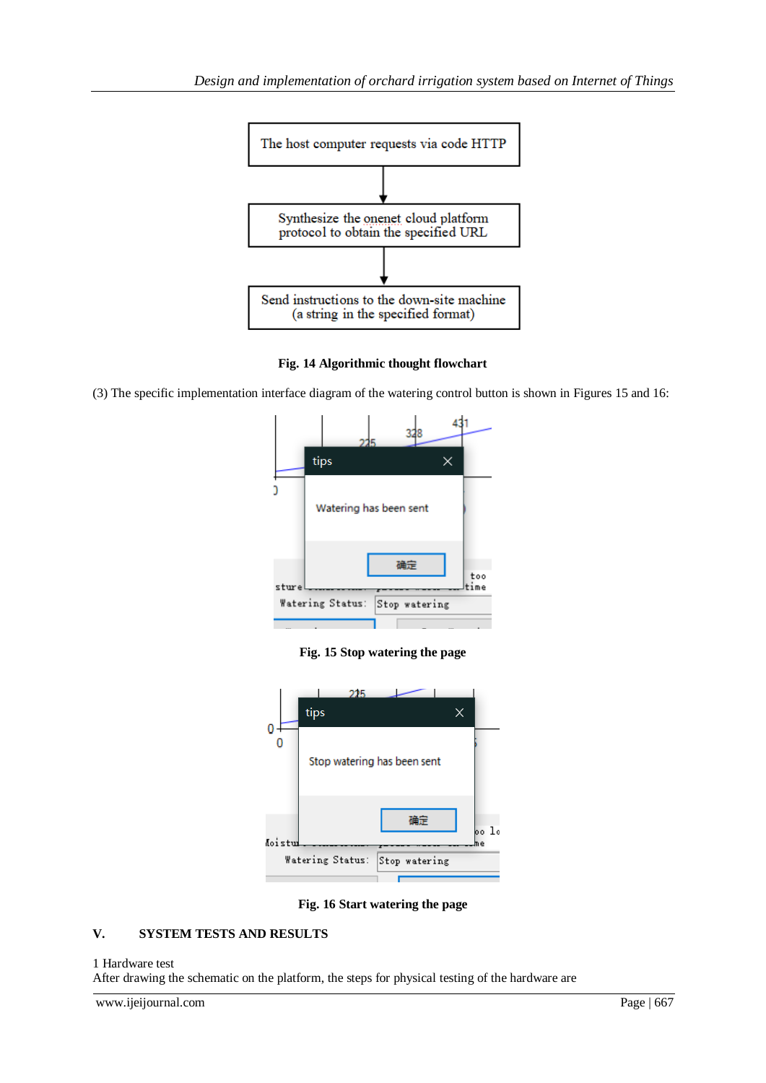

**Fig. 14 Algorithmic thought flowchart**

(3) The specific implementation interface diagram of the watering control button is shown in Figures 15 and 16:



**Fig. 15 Stop watering the page**



**Fig. 16 Start watering the page**

## **V. SYSTEM TESTS AND RESULTS**

#### 1 Hardware test

After drawing the schematic on the platform, the steps for physical testing of the hardware are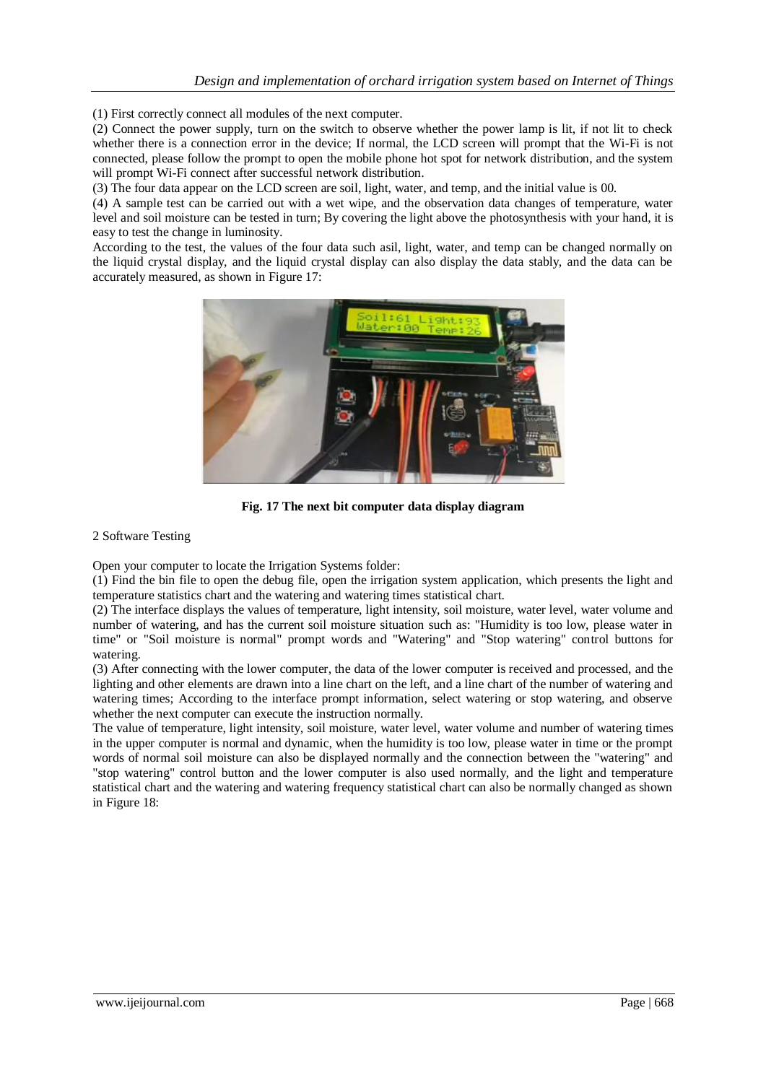(1) First correctly connect all modules of the next computer.

(2) Connect the power supply, turn on the switch to observe whether the power lamp is lit, if not lit to check whether there is a connection error in the device; If normal, the LCD screen will prompt that the Wi-Fi is not connected, please follow the prompt to open the mobile phone hot spot for network distribution, and the system will prompt Wi-Fi connect after successful network distribution.

(3) The four data appear on the LCD screen are soil, light, water, and temp, and the initial value is 00.

(4) A sample test can be carried out with a wet wipe, and the observation data changes of temperature, water level and soil moisture can be tested in turn; By covering the light above the photosynthesis with your hand, it is easy to test the change in luminosity.

According to the test, the values of the four data such asil, light, water, and temp can be changed normally on the liquid crystal display, and the liquid crystal display can also display the data stably, and the data can be accurately measured, as shown in Figure 17:



**Fig. 17 The next bit computer data display diagram**

2 Software Testing

Open your computer to locate the Irrigation Systems folder:

(1) Find the bin file to open the debug file, open the irrigation system application, which presents the light and temperature statistics chart and the watering and watering times statistical chart.

(2) The interface displays the values of temperature, light intensity, soil moisture, water level, water volume and number of watering, and has the current soil moisture situation such as: "Humidity is too low, please water in time" or "Soil moisture is normal" prompt words and "Watering" and "Stop watering" control buttons for watering.

(3) After connecting with the lower computer, the data of the lower computer is received and processed, and the lighting and other elements are drawn into a line chart on the left, and a line chart of the number of watering and watering times; According to the interface prompt information, select watering or stop watering, and observe whether the next computer can execute the instruction normally.

The value of temperature, light intensity, soil moisture, water level, water volume and number of watering times in the upper computer is normal and dynamic, when the humidity is too low, please water in time or the prompt words of normal soil moisture can also be displayed normally and the connection between the "watering" and "stop watering" control button and the lower computer is also used normally, and the light and temperature statistical chart and the watering and watering frequency statistical chart can also be normally changed as shown in Figure 18: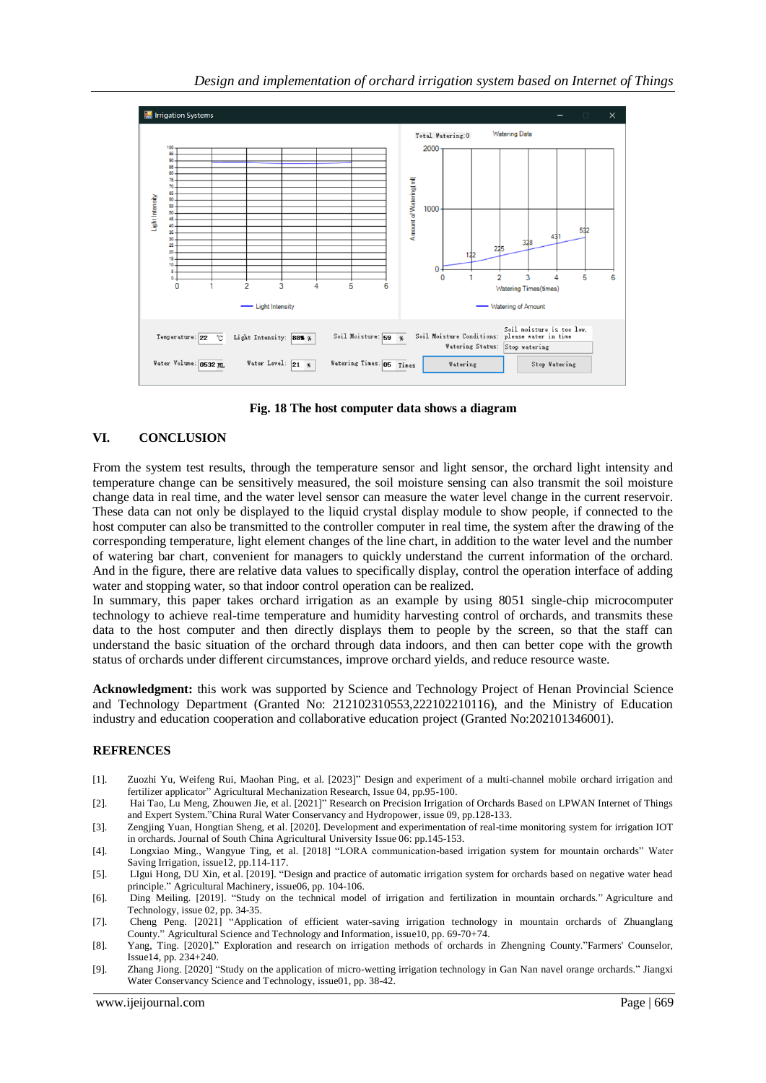

**Fig. 18 The host computer data shows a diagram**

## **VI. CONCLUSION**

From the system test results, through the temperature sensor and light sensor, the orchard light intensity and temperature change can be sensitively measured, the soil moisture sensing can also transmit the soil moisture change data in real time, and the water level sensor can measure the water level change in the current reservoir. These data can not only be displayed to the liquid crystal display module to show people, if connected to the host computer can also be transmitted to the controller computer in real time, the system after the drawing of the corresponding temperature, light element changes of the line chart, in addition to the water level and the number of watering bar chart, convenient for managers to quickly understand the current information of the orchard. And in the figure, there are relative data values to specifically display, control the operation interface of adding water and stopping water, so that indoor control operation can be realized.

In summary, this paper takes orchard irrigation as an example by using 8051 single-chip microcomputer technology to achieve real-time temperature and humidity harvesting control of orchards, and transmits these data to the host computer and then directly displays them to people by the screen, so that the staff can understand the basic situation of the orchard through data indoors, and then can better cope with the growth status of orchards under different circumstances, improve orchard yields, and reduce resource waste.

**Acknowledgment:** this work was supported by Science and Technology Project of Henan Provincial Science and Technology Department (Granted No: 212102310553,222102210116), and the Ministry of Education industry and education cooperation and collaborative education project (Granted No:202101346001).

#### **REFRENCES**

- [1]. Zuozhi Yu, Weifeng Rui, Maohan Ping, et al. [2023]" Design and experiment of a multi-channel mobile orchard irrigation and fertilizer applicator" Agricultural Mechanization Research, Issue 04, pp.95-100.
- [2]. Hai Tao, Lu Meng, Zhouwen Jie, et al. [2021]" Research on Precision Irrigation of Orchards Based on LPWAN Internet of Things and Expert System."China Rural Water Conservancy and Hydropower, issue 09, pp.128-133.
- [3]. Zengjing Yuan, Hongtian Sheng, et al. [2020]. Development and experimentation of real-time monitoring system for irrigation IOT in orchards. Journal of South China Agricultural University Issue 06: pp.145-153.
- [4]. Longxiao Ming., Wangyue Ting, et al. [2018] "LORA communication-based irrigation system for mountain orchards" Water Saving Irrigation, issue12, pp.114-117.
- [5]. LIgui Hong, DU Xin, et al. [2019]. "Design and practice of automatic irrigation system for orchards based on negative water head principle." Agricultural Machinery, issue06, pp. 104-106.
- [6]. Ding Meiling. [2019]. "Study on the technical model of irrigation and fertilization in mountain orchards." Agriculture and Technology, issue 02, pp. 34-35.
- [7]. Cheng Peng. [2021] "Application of efficient water-saving irrigation technology in mountain orchards of Zhuanglang County." Agricultural Science and Technology and Information, issue10, pp. 69-70+74.
- [8]. Yang, Ting. [2020]." Exploration and research on irrigation methods of orchards in Zhengning County."Farmers' Counselor, Issue14, pp. 234+240.
- [9]. Zhang Jiong. [2020] "Study on the application of micro-wetting irrigation technology in Gan Nan navel orange orchards." Jiangxi Water Conservancy Science and Technology, issue01, pp. 38-42.